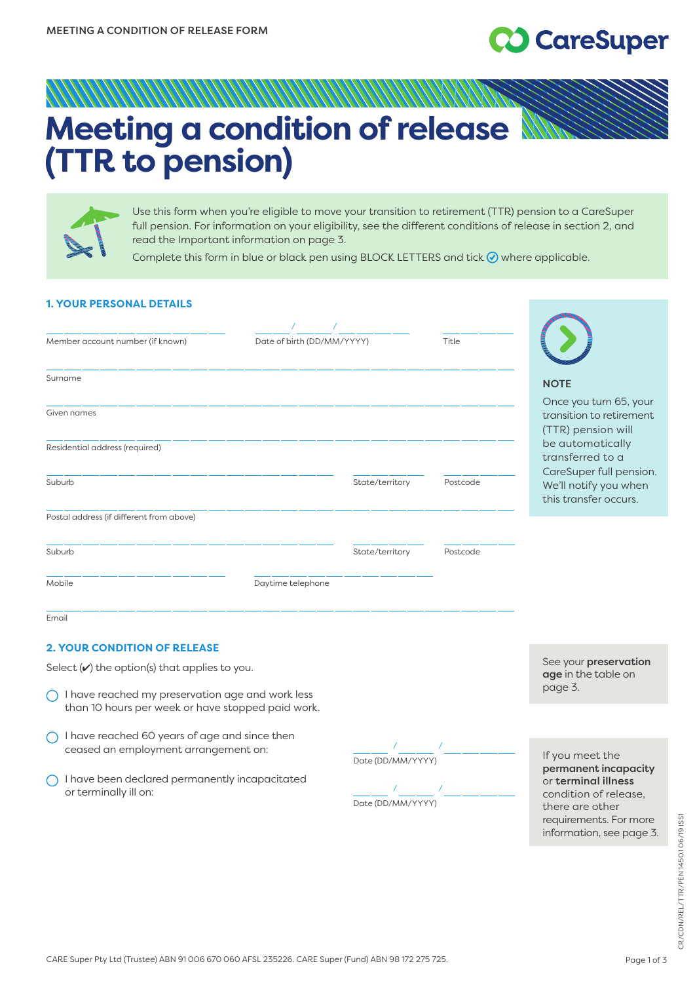# **CareSuper**

## ANAHAN MANAHAN MANAHAN **Meeting a condition of release  (TTR to pension)**



Use this form when you're eligible to move your transition to retirement (TTR) pension to a CareSuper full pension. For information on your eligibility, see the different conditions of release in section 2, and read the Important information on page 3.

Complete this form in blue or black pen using BLOCK LETTERS and tick  $\odot$  where applicable.

## **1. YOUR PERSONAL DETAILS**

| Member account number (if known)         | Date of birth (DD/MM/YYYY) |                 | Title                                 |                                                                 |
|------------------------------------------|----------------------------|-----------------|---------------------------------------|-----------------------------------------------------------------|
| Surname                                  |                            |                 | <b>NOTE</b><br>Once you turn 65, your |                                                                 |
| Given names                              |                            |                 |                                       | transition to retirement<br>(TTR) pension will                  |
| Residential address (required)           |                            |                 |                                       | be automatically<br>transferred to a<br>CareSuper full pension. |
| Suburb                                   |                            | State/territory | Postcode                              | We'll notify you when<br>this transfer occurs.                  |
| Postal address (if different from above) |                            |                 |                                       |                                                                 |
| Suburb                                   |                            | State/territory | Postcode                              |                                                                 |
| Mobile                                   | Daytime telephone          |                 |                                       |                                                                 |
| Email                                    |                            |                 |                                       |                                                                 |

## **2. YOUR CONDITION OF RELEASE**

Select  $(v)$  the option(s) that applies to you.

- $\bigcap$  I have reached my preservation age and work less than 10 hours per week or have stopped paid work.
- $\bigcap$  I have reached 60 years of age and since then ceased an employment arrangement on:
- $\bigcap$  I have been declared permanently incapacitated or terminally ill on: / /

Date (DD/MM/YYYY)

Date (DD/MM/YYYY)

See your preservation age in the table on page 3.

If you meet the permanent incapacity or terminal illness condition of release, there are other requirements. For more information, see page 3.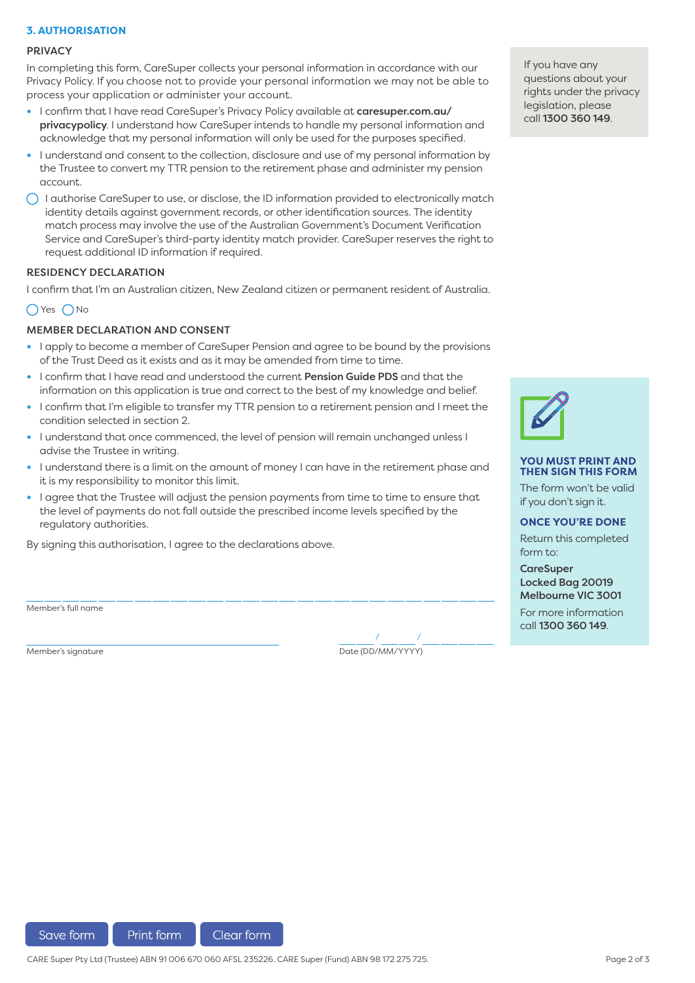## **3. AUTHORISATION**

#### **PRIVACY**

In completing this form, CareSuper collects your personal information in accordance with our Privacy Policy. If you choose not to provide your personal information we may not be able to process your application or administer your account.

- **•** I confirm that I have read CareSuper's Privacy Policy available at caresuper.com.au/ privacypolicy[. I understand how CareSuper intends to handle my personal information a](http://www.caresuper.com.au/privacypolicy)nd acknowledge that my personal information will only be used for the purposes specified.
- **•** I understand and consent to the collection, disclosure and use of my personal information by the Trustee to convert my TTR pension to the retirement phase and administer my pension account.
- $\bigcap$  I authorise CareSuper to use, or disclose, the ID information provided to electronically match identity details against government records, or other identification sources. The identity match process may involve the use of the Australian Government's Document Verification Service and CareSuper's third-party identity match provider. CareSuper reserves the right to request additional ID information if required.

#### RESIDENCY DECLARATION

I confirm that I'm an Australian citizen, New Zealand citizen or permanent resident of Australia.

## OYes ONo

## MEMBER DECLARATION AND CONSENT

- **•** I apply to become a member of CareSuper Pension and agree to be bound by the provisions of the Trust Deed as it exists and as it may be amended from time to time.
- **•** I confirm that I have read and understood the current Pension Guide PDS and that the information on this application is true and correct to the best of my knowledge and belief.
- **•** I confirm that I'm eligible to transfer my TTR pension to a retirement pension and I meet the condition selected in section 2.
- **•** I understand that once commenced, the level of pension will remain unchanged unless I advise the Trustee in writing.
- **•** I understand there is a limit on the amount of money I can have in the retirement phase and it is my responsibility to monitor this limit.
- **•** I agree that the Trustee will adjust the pension payments from time to time to ensure that the level of payments do not fall outside the prescribed income levels specified by the regulatory authorities.

By signing this authorisation, I agree to the declarations above.

Member's full name

Member's signature Date (DD/MM/YYYY)

/ /

If you have any questions about your rights under the privacy legislation, please call 1300 360 149.



#### **YOU MUST PRINT AND THEN SIGN THIS FORM**

The form won't be valid if you don't sign it.

#### **ONCE YOU'RE DONE**

Return this completed form to:

**CareSuper** Locked Bag 20019 Melbourne VIC 3001

For more information call 1300 360 149.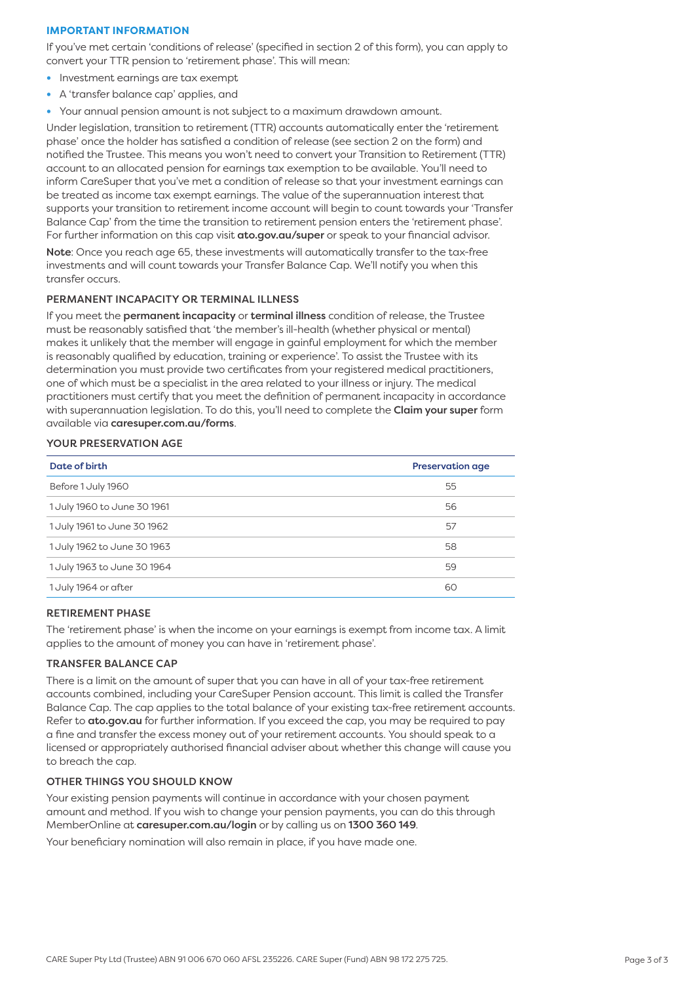## **IMPORTANT INFORMATION**

If you've met certain 'conditions of release' (specified in section 2 of this form), you can apply to convert your TTR pension to 'retirement phase'. This will mean:

- **•** Investment earnings are tax exempt
- **•** A 'transfer balance cap' applies, and
- **•** Your annual pension amount is not subject to a maximum drawdown amount.

Under legislation, transition to retirement (TTR) accounts automatically enter the 'retirement phase' once the holder has satisfied a condition of release (see section 2 on the form) and notified the Trustee. This means you won't need to convert your Transition to Retirement (TTR) account to an allocated pension for earnings tax exemption to be available. You'll need to inform CareSuper that you've met a condition of release so that your investment earnings can be treated as income tax exempt earnings. The value of the superannuation interest that supports your transition to retirement income account will begin to count towards your 'Transfer Balance Cap' from the time the transition to retirement pension enters the 'retirement phase'. For further information on this cap visit [ato.gov.au/super](http://www.ato.gov.au/super) or speak to your financial advisor.

Note: Once you reach age 65, these investments will automatically transfer to the tax-free investments and will count towards your Transfer Balance Cap. We'll notify you when this transfer occurs.

## PERMANENT INCAPACITY OR TERMINAL ILLNESS

If you meet the permanent incapacity or terminal illness condition of release, the Trustee must be reasonably satisfied that 'the member's ill-health (whether physical or mental) makes it unlikely that the member will engage in gainful employment for which the member is reasonably qualified by education, training or experience'. To assist the Trustee with its determination you must provide two certificates from your registered medical practitioners, one of which must be a specialist in the area related to your illness or injury. The medical practitioners must certify that you meet the definition of permanent incapacity in accordance with superannuation legislation. To do this, you'll need to complete the Claim your super form available via [caresuper.com.au/forms](http://www.caresuper.com.au/forms).

## YOUR PRESERVATION AGE

| Date of birth               | <b>Preservation age</b> |
|-----------------------------|-------------------------|
| Before 1 July 1960          | 55                      |
| 1 July 1960 to June 30 1961 | 56                      |
| 1 July 1961 to June 30 1962 | 57                      |
| 1 July 1962 to June 30 1963 | 58                      |
| 1 July 1963 to June 30 1964 | 59                      |
| 1 July 1964 or after        | 60                      |

## RETIREMENT PHASE

The 'retirement phase' is when the income on your earnings is exempt from income tax. A limit applies to the amount of money you can have in 'retirement phase'.

#### TRANSFER BALANCE CAP

There is a limit on the amount of super that you can have in all of your tax-free retirement accounts combined, including your CareSuper Pension account. This limit is called the Transfer Balance Cap. The cap applies to the total balance of your existing tax-free retirement accounts. Refer to ato.gov.au for further information. If you exceed the cap, you may be required to pay a fine and transfer the excess money out of your retirement accounts. You should speak to a licensed or appropriately authorised financial adviser about whether this change will cause you to breach the cap.

## OTHER THINGS YOU SHOULD KNOW

Your existing pension payments will continue in accordance with your chosen payment amount and method. If you wish to change your pension payments, you can do this through MemberOnline at [caresuper.com.au/login](http://www.caresuper.com.au/login) or by calling us on 1300 360 149.

Your beneficiary nomination will also remain in place, if you have made one.